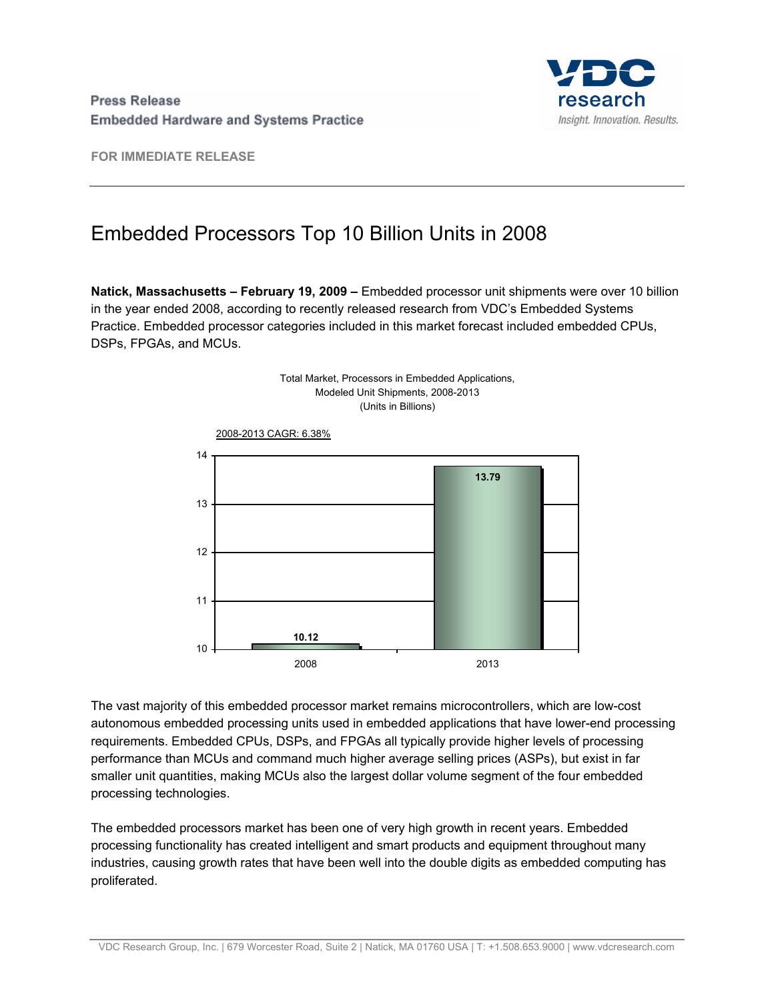

**FOR IMMEDIATE RELEASE** 

## Embedded Processors Top 10 Billion Units in 2008

**Natick, Massachusetts – February 19, 2009 –** Embedded processor unit shipments were over 10 billion in the year ended 2008, according to recently released research from VDC's Embedded Systems Practice. Embedded processor categories included in this market forecast included embedded CPUs, DSPs, FPGAs, and MCUs.



The vast majority of this embedded processor market remains microcontrollers, which are low-cost autonomous embedded processing units used in embedded applications that have lower-end processing requirements. Embedded CPUs, DSPs, and FPGAs all typically provide higher levels of processing performance than MCUs and command much higher average selling prices (ASPs), but exist in far smaller unit quantities, making MCUs also the largest dollar volume segment of the four embedded processing technologies.

The embedded processors market has been one of very high growth in recent years. Embedded processing functionality has created intelligent and smart products and equipment throughout many industries, causing growth rates that have been well into the double digits as embedded computing has proliferated.